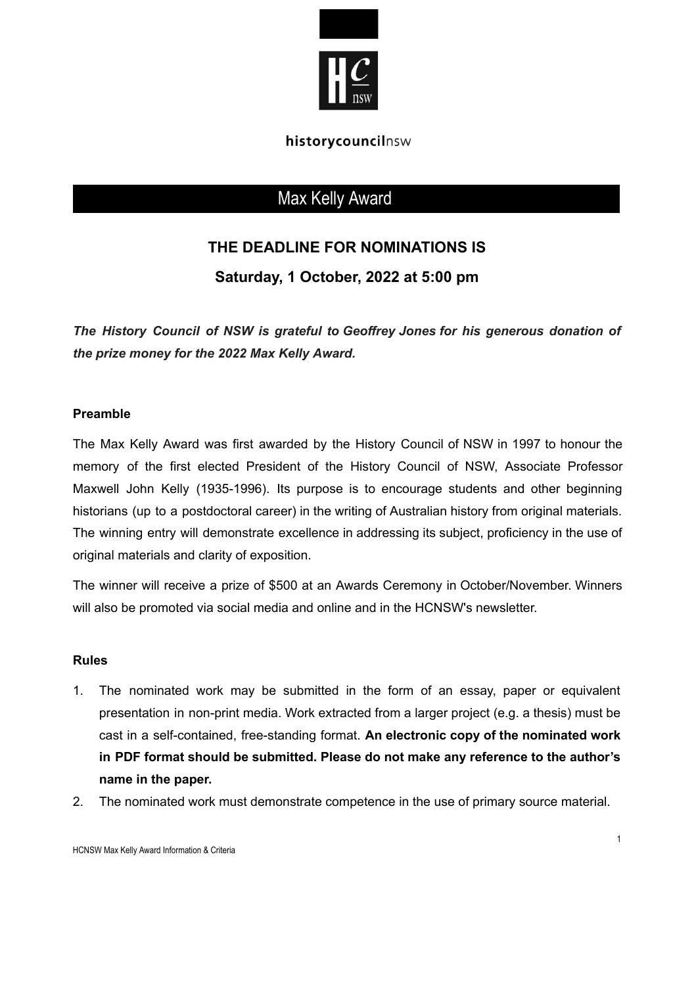

### historycouncilnsw

# Max Kelly Award

## **THE DEADLINE FOR NOMINATIONS IS**

**Saturday, 1 October, 2022 at 5:00 pm**

*The History Council of NSW is grateful to Geoffrey Jones for his generous donation of the prize money for the 2022 Max Kelly Award.*

#### **Preamble**

The Max Kelly Award was first awarded by the History Council of NSW in 1997 to honour the memory of the first elected President of the History Council of NSW, Associate Professor Maxwell John Kelly (1935-1996). Its purpose is to encourage students and other beginning historians (up to a postdoctoral career) in the writing of Australian history from original materials. The winning entry will demonstrate excellence in addressing its subject, proficiency in the use of original materials and clarity of exposition.

The winner will receive a prize of \$500 at an Awards Ceremony in October/November. Winners will also be promoted via social media and online and in the HCNSW's newsletter.

#### **Rules**

- 1. The nominated work may be submitted in the form of an essay, paper or equivalent presentation in non-print media. Work extracted from a larger project (e.g. a thesis) must be cast in a self-contained, free-standing format. **An electronic copy of the nominated work in PDF format should be submitted. Please do not make any reference to the author's name in the paper.**
- 2. The nominated work must demonstrate competence in the use of primary source material.